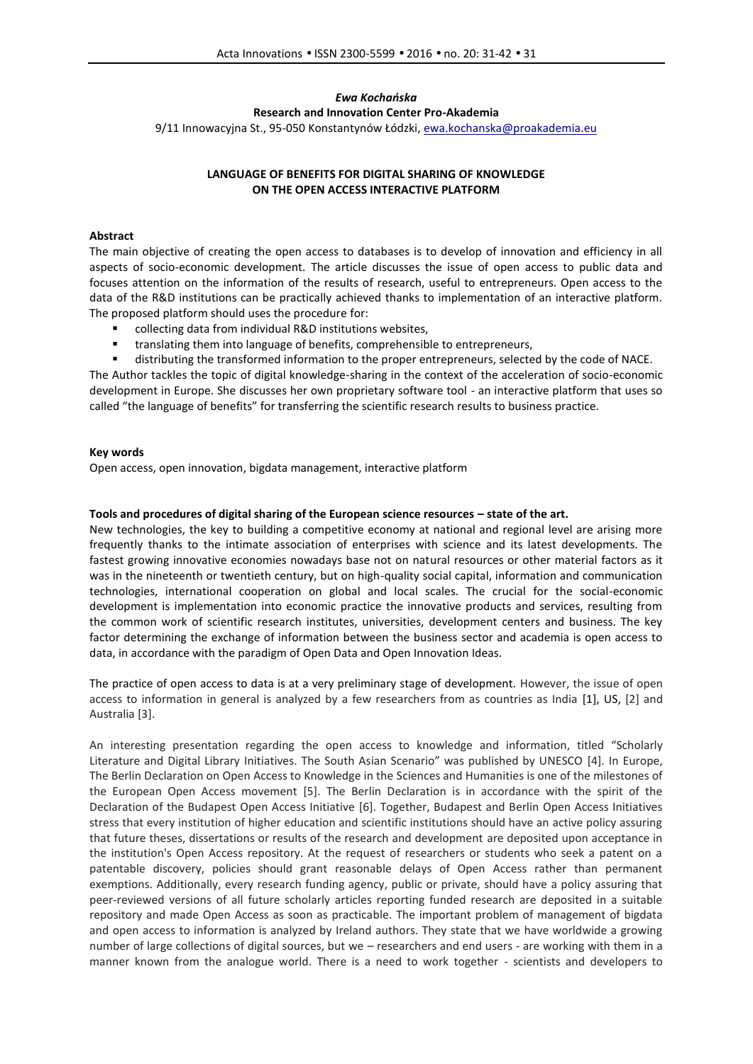# *Ewa Kochańska*

**Research and Innovation Center Pro-Akademia**

9/11 Innowacyjna St., 95-050 Konstantynów Łódzki, ewa.kochanska@proakademia.eu

# **LANGUAGE OF BENEFITS FOR DIGITAL SHARING OF KNOWLEDGE ON THE OPEN ACCESS INTERACTIVE PLATFORM**

## **Abstract**

The main objective of creating the open access to databases is to develop of innovation and efficiency in all aspects of socio-economic development. The article discusses the issue of open access to public data and focuses attention on the information of the results of research, useful to entrepreneurs. Open access to the data of the R&D institutions can be practically achieved thanks to implementation of an interactive platform. The proposed platform should uses the procedure for:

- collecting data from individual R&D institutions websites,
- **\*** translating them into language of benefits, comprehensible to entrepreneurs,
- distributing the transformed information to the proper entrepreneurs, selected by the code of NACE.

The Author tackles the topic of digital knowledge-sharing in the context of the acceleration of socio-economic development in Europe. She discusses her own proprietary software tool - an interactive platform that uses so called "the language of benefits" for transferring the scientific research results to business practice.

## **Key words**

Open access, open innovation, bigdata management, interactive platform

#### **Tools and procedures of digital sharing of the European science resources – state of the art.**

New technologies, the key to building a competitive economy at national and regional level are arising more frequently thanks to the intimate association of enterprises with science and its latest developments. The fastest growing innovative economies nowadays base not on natural resources or other material factors as it was in the nineteenth or twentieth century, but on high-quality social capital, information and communication technologies, international cooperation on global and local scales. The crucial for the social-economic development is implementation into economic practice the innovative products and services, resulting from the common work of scientific research institutes, universities, development centers and business. The key factor determining the exchange of information between the business sector and academia is open access to data, in accordance with the paradigm of Open Data and Open Innovation Ideas.

The practice of open access to data is at a very preliminary stage of development. However, the issue of open access to information in general is analyzed by a few researchers from as countries as India [1], US, [2] and Australia [3].

An interesting presentation regarding the open access to knowledge and information, titled "Scholarly Literature and Digital Library Initiatives. The South Asian Scenario" was published by UNESCO [4]. In Europe, The Berlin Declaration on Open Access to Knowledge in the Sciences and Humanities is one of the milestones of the European Open Access movement [5]. The Berlin Declaration is in accordance with the spirit of the Declaration of the Budapest Open Access Initiative [6]. Together, Budapest and Berlin Open Access Initiatives stress that every institution of higher education and scientific institutions should have an active policy assuring that future theses, dissertations or results of the research and development are deposited upon acceptance in the institution's Open Access repository. At the request of researchers or students who seek a patent on a patentable discovery, policies should grant reasonable delays of Open Access rather than permanent exemptions. Additionally, every research funding agency, public or private, should have a policy assuring that peer-reviewed versions of all future scholarly articles reporting funded research are deposited in a suitable repository and made Open Access as soon as practicable. The important problem of management of bigdata and open access to information is analyzed by Ireland authors. They state that we have worldwide a growing number of large collections of digital sources, but we – researchers and end users - are working with them in a manner known from the analogue world. There is a need to work together - scientists and developers to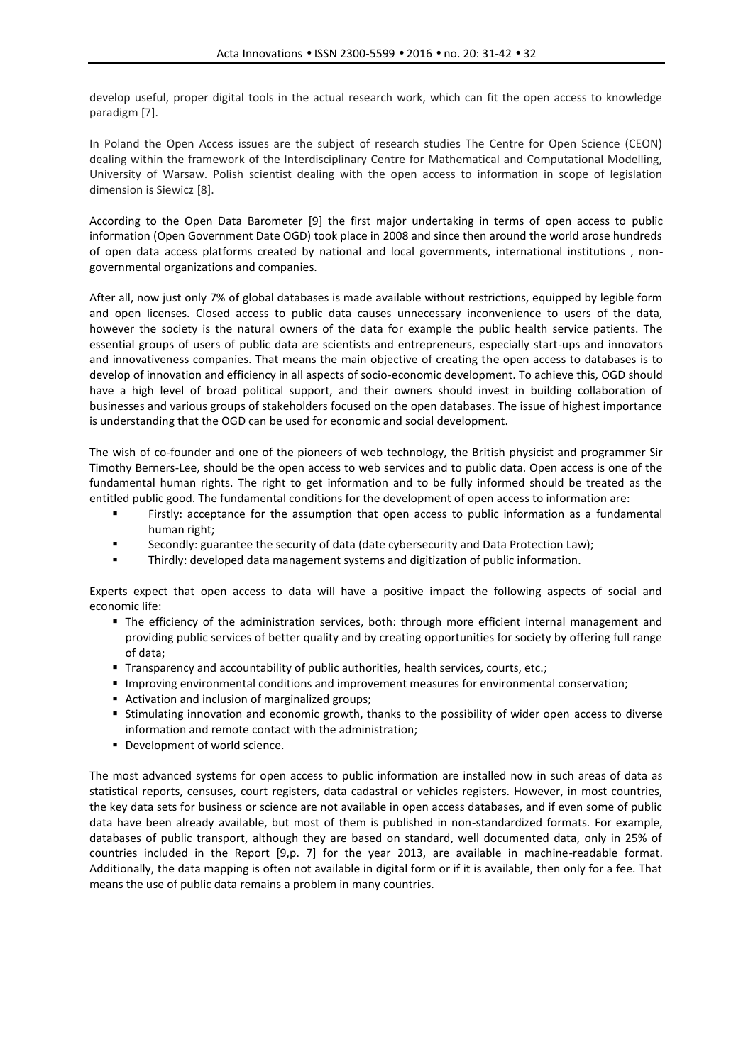develop useful, proper digital tools in the actual research work, which can fit the open access to knowledge paradigm [7].

In Poland the Open Access issues are the subject of research studies The Centre for Open Science (CEON) dealing within the framework of the Interdisciplinary Centre for Mathematical and Computational Modelling, University of Warsaw. Polish scientist dealing with the open access to information in scope of legislation dimension is Siewicz [8].

According to the Open Data Barometer [9] the first major undertaking in terms of open access to public information (Open Government Date OGD) took place in 2008 and since then around the world arose hundreds of open data access platforms created by national and local governments, international institutions , non governmental organizations and companies.

After all, now just only 7% of global databases is made available without restrictions, equipped by legible form and open licenses. Closed access to public data causes unnecessary inconvenience to users of the data, however the society is the natural owners of the data for example the public health service patients. The essential groups of users of public data are scientists and entrepreneurs, especially start-ups and innovators and innovativeness companies. That means the main objective of creating the open access to databases is to develop of innovation and efficiency in all aspects of socio-economic development. To achieve this, OGD should have a high level of broad political support, and their owners should invest in building collaboration of businesses and various groups of stakeholders focused on the open databases. The issue of highest importance is understanding that the OGD can be used for economic and social development.

The wish of co-founder and one of the pioneers of web technology, the British physicist and programmer Sir Timothy Berners-Lee, should be the open access to web services and to public data. Open access is one of the fundamental human rights. The right to get information and to be fully informed should be treated as the entitled public good. The fundamental conditions for the development of open access to information are:

- Firstly: acceptance for the assumption that open access to public information as a fundamental human right;
- Secondly: guarantee the security of data (date cybersecurity and Data Protection Law);
- Thirdly: developed data management systems and digitization of public information.

Experts expect that open access to data will have a positive impact the following aspects of social and economic life:

- The efficiency of the administration services, both: through more efficient internal management and providing public services of better quality and by creating opportunities for society by offering full range of data;
- **Transparency and accountability of public authorities, health services, courts, etc.;**
- **Improving environmental conditions and improvement measures for environmental conservation;**
- Activation and inclusion of marginalized groups;
- Stimulating innovation and economic growth, thanks to the possibility of wider open access to diverse information and remote contact with the administration;
- Development of world science.

The most advanced systems for open access to public information are installed now in such areas of data as statistical reports, censuses, court registers, data cadastral or vehicles registers. However, in most countries, the key data sets for business or science are not available in open access databases, and if even some of public data have been already available, but most of them is published in non-standardized formats. For example, databases of public transport, although they are based on standard, well documented data, only in 25% of countries included in the Report [9,p. 7] for the year 2013, are available in machine-readable format. Additionally, the data mapping is often not available in digital form or if it is available, then only for a fee. That means the use of public data remains a problem in many countries.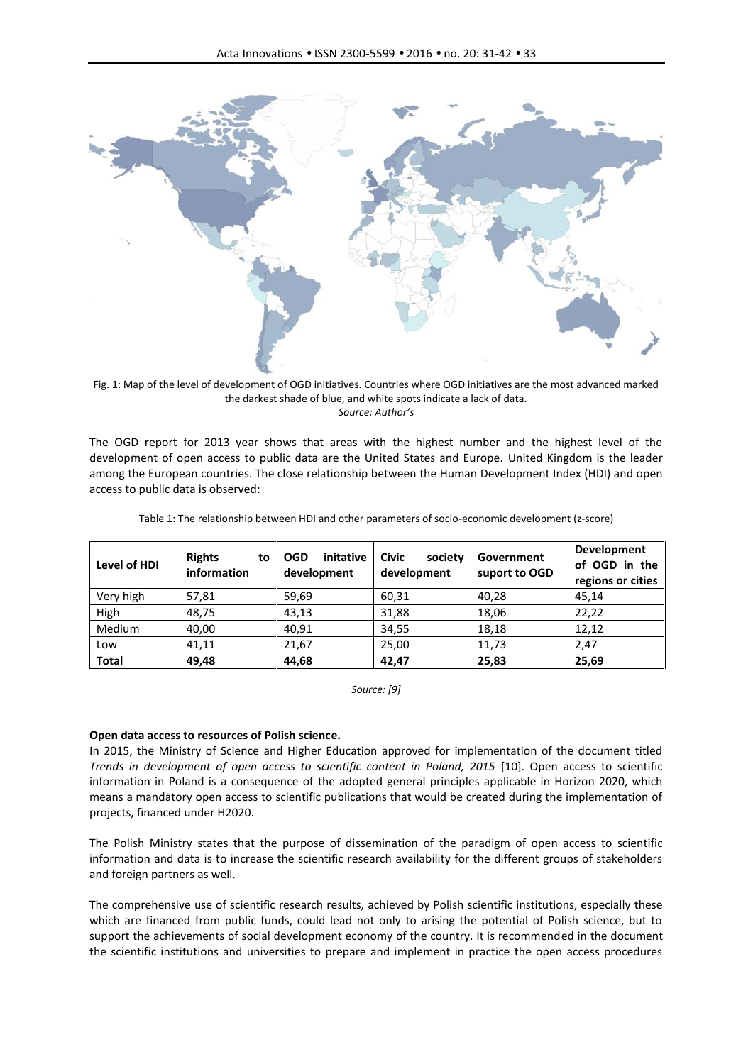

Fig. 1: Map of the level of development of OGD initiatives. Countries where OGD initiatives are the most advanced marked the darkest shade of blue, and white spots indicate a lack of data. *Source: Author's*

The OGD report for 2013 year shows that areas with the highest number and the highest level of the development of open access to public data are the United States and Europe. United Kingdom is the leader among the European countries. The close relationship between the Human Development Index (HDI) and open access to public data is observed:

| Level of HDI | <b>Rights</b><br>to<br>information | initative<br><b>OGD</b><br>development | <b>Civic</b><br>society<br>development | Government<br>suport to OGD | Development<br>of OGD in the<br>regions or cities |
|--------------|------------------------------------|----------------------------------------|----------------------------------------|-----------------------------|---------------------------------------------------|
| Very high    | 57,81                              | 59,69                                  | 60,31                                  | 40,28                       | 45,14                                             |
| High         | 48,75                              | 43,13                                  | 31,88                                  | 18,06                       | 22,22                                             |
| Medium       | 40,00                              | 40,91                                  | 34,55                                  | 18,18                       | 12,12                                             |
| Low          | 41,11                              | 21,67                                  | 25,00                                  | 11,73                       | 2,47                                              |
| <b>Total</b> | 49,48                              | 44,68                                  | 42,47                                  | 25,83                       | 25,69                                             |

Table 1: The relationship between HDI and other parameters of socio-economic development (z-score)

*Source: [9]*

#### **Open data access to resources of Polish science.**

In 2015, the Ministry of Science and Higher Education approved for implementation of the document titled *Trends in development of open access to scientific content in Poland, 2015* [10]. Open access to scientific information in Poland is a consequence of the adopted general principles applicable in Horizon 2020, which means a mandatory open access to scientific publications that would be created during the implementation of projects, financed under H2020.

The Polish Ministry states that the purpose of dissemination of the paradigm of open access to scientific information and data is to increase the scientific research availability for the different groups of stakeholders and foreign partners as well.

The comprehensive use of scientific research results, achieved by Polish scientific institutions, especially these which are financed from public funds, could lead not only to arising the potential of Polish science, but to support the achievements of social development economy of the country. It is recommended in the document the scientific institutions and universities to prepare and implement in practice the open access procedures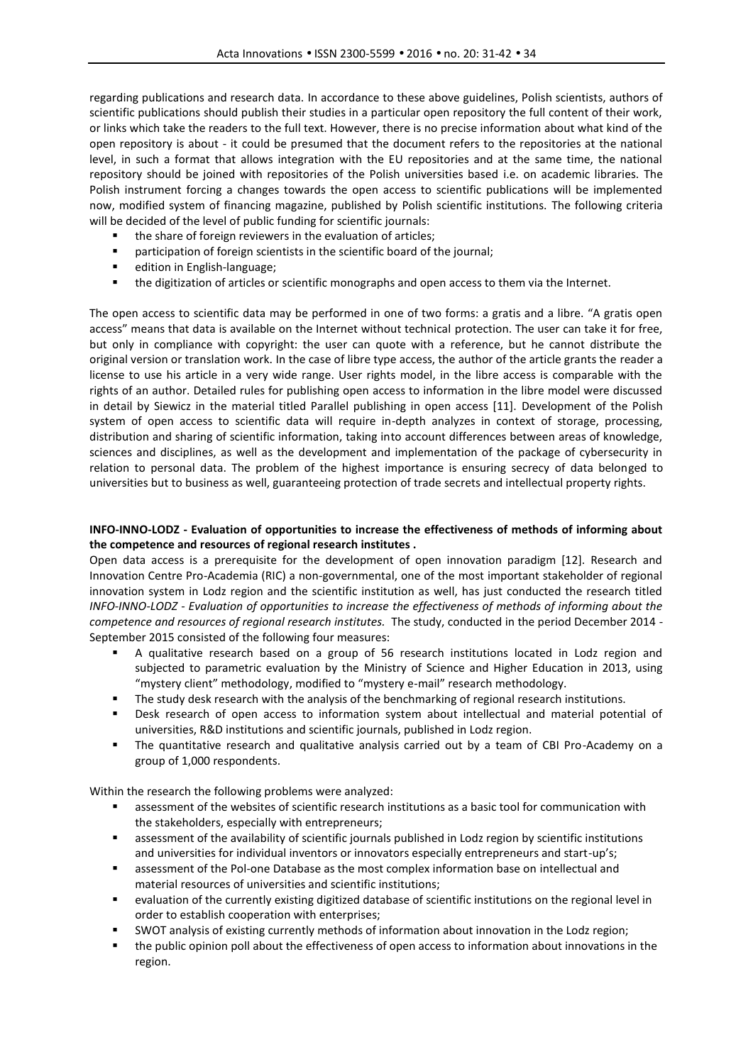regarding publications and research data. In accordance to these above guidelines, Polish scientists, authors of scientific publications should publish their studies in a particular open repository the full content of their work, or links which take the readers to the full text. However, there is no precise information about what kind of the open repository is about - it could be presumed that the document refers to the repositories at the national level, in such a format that allows integration with the EU repositories and at the same time, the national repository should be joined with repositories of the Polish universities based i.e. on academic libraries. The Polish instrument forcing a changes towards the open access to scientific publications will be implemented now, modified system of financing magazine, published by Polish scientific institutions. The following criteria will be decided of the level of public funding for scientific journals:

- the share of foreign reviewers in the evaluation of articles;
- **•** participation of foreign scientists in the scientific board of the journal;
- **•** edition in English-language;
- the digitization of articles or scientific monographs and open access to them via the Internet.

The open access to scientific data may be performed in one of two forms: a gratis and a libre. "A gratis open access" means that data is available on the Internet without technical protection. The user can take it for free, but only in compliance with copyright: the user can quote with a reference, but he cannot distribute the original version or translation work. In the case of libre type access, the author of the article grants the reader a license to use his article in a very wide range. User rights model, in the libre access is comparable with the rights of an author. Detailed rules for publishing open access to information in the libre model were discussed in detail by Siewicz in the material titled Parallel publishing in open access [11]. Development of the Polish system of open access to scientific data will require in-depth analyzes in context of storage, processing, distribution and sharing of scientific information, taking into account differences between areas of knowledge, sciences and disciplines, as well as the development and implementation of the package of cybersecurity in relation to personal data. The problem of the highest importance is ensuring secrecy of data belonged to universities but to business as well, guaranteeing protection of trade secrets and intellectual property rights.

## **INFO-INNO-LODZ - Evaluation of opportunities to increase the effectiveness of methods of informing about the competence and resources of regional research institutes .**

Open data access is a prerequisite for the development of open innovation paradigm [12]. Research and Innovation Centre Pro-Academia (RIC) a non-governmental, one of the most important stakeholder of regional innovation system in Lodz region and the scientific institution as well, has just conducted the research titled *INFO-INNO-LODZ - Evaluation of opportunities to increase the effectiveness of methods of informing about the competence and resources of regional research institutes.* The study, conducted in the period December 2014 - September 2015 consisted of the following four measures:

- A qualitative research based on a group of 56 research institutions located in Lodz region and subjected to parametric evaluation by the Ministry of Science and Higher Education in 2013, using "mystery client" methodology, modified to "mystery e-mail" research methodology.
- **The study desk research with the analysis of the benchmarking of regional research institutions.**
- Desk research of open access to information system about intellectual and material potential of universities, R&D institutions and scientific journals, published in Lodz region.
- The quantitative research and qualitative analysis carried out by a team of CBI Pro-Academy on a group of 1,000 respondents.

Within the research the following problems were analyzed:

- assessment of the websites of scientific research institutions as a basic tool for communication with the stakeholders, especially with entrepreneurs;
- assessment of the availability of scientific journals published in Lodz region by scientific institutions and universities for individual inventors or innovators especially entrepreneurs and start-up's;
- assessment of the Pol-one Database as the most complex information base on intellectual and material resources of universities and scientific institutions;
- evaluation of the currently existing digitized database of scientific institutions on the regional level in order to establish cooperation with enterprises;
- SWOT analysis of existing currently methods of information about innovation in the Lodz region;
- the public opinion poll about the effectiveness of open access to information about innovations in the region.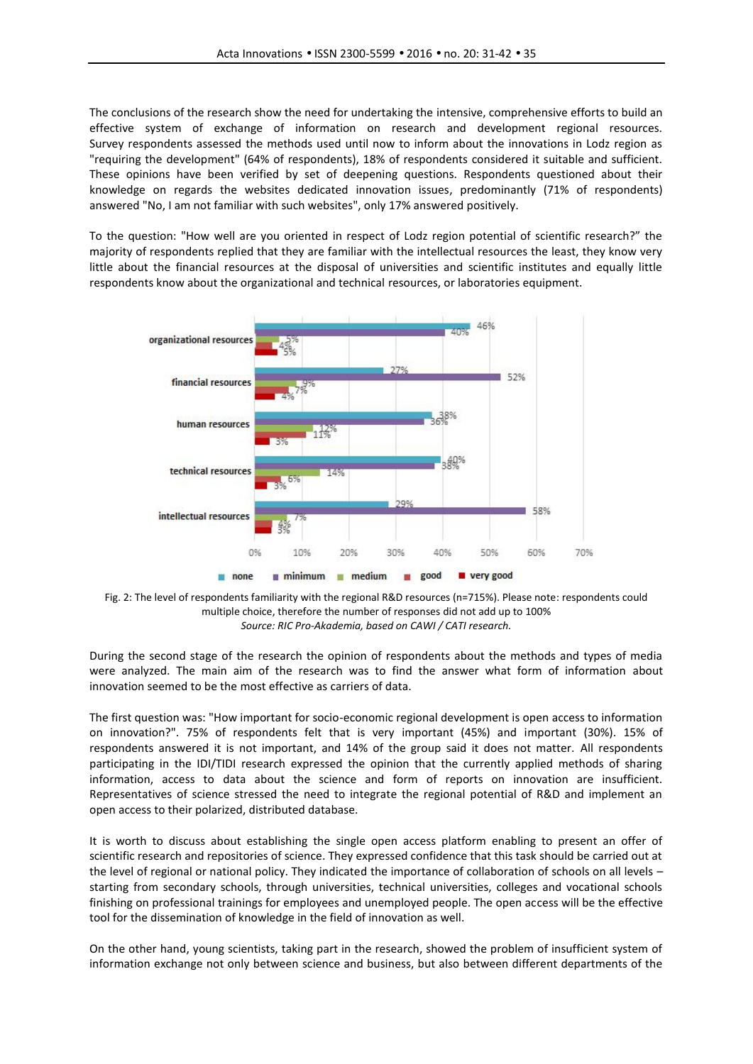The conclusions of the research show the need for undertaking the intensive, comprehensive efforts to build an effective system of exchange of information on research and development regional resources. Survey respondents assessed the methods used until now to inform about the innovations in Lodz region as "requiring the development" (64% of respondents), 18% of respondents considered it suitable and sufficient. These opinions have been verified by set of deepening questions. Respondents questioned about their knowledge on regards the websites dedicated innovation issues, predominantly (71% of respondents) answered "No, I am not familiar with such websites", only 17% answered positively.

To the question: "How well are you oriented in respect of Lodz region potential of scientific research?" the majority of respondents replied that they are familiar with the intellectual resources the least, they know very little about the financial resources at the disposal of universities and scientific institutes and equally little respondents know about the organizational and technical resources, or laboratories equipment.





During the second stage of the research the opinion of respondents about the methods and types of media were analyzed. The main aim of the research was to find the answer what form of information about innovation seemed to be the most effective as carriers of data.

The first question was: "How important for socio-economic regional development is open access to information on innovation?". 75% of respondents felt that is very important (45%) and important (30%). 15% of respondents answered it is not important, and 14% of the group said it does not matter. All respondents participating in the IDI/TIDI research expressed the opinion that the currently applied methods of sharing information, access to data about the science and form of reports on innovation are insufficient. Representatives of science stressed the need to integrate the regional potential of R&D and implement an open access to their polarized, distributed database.

It is worth to discuss about establishing the single open access platform enabling to present an offer of scientific research and repositories of science. They expressed confidence that this task should be carried out at the level of regional or national policy. They indicated the importance of collaboration of schools on all levels – starting from secondary schools, through universities, technical universities, colleges and vocational schools finishing on professional trainings for employees and unemployed people. The open access will be the effective tool for the dissemination of knowledge in the field of innovation as well.

On the other hand, young scientists, taking part in the research, showed the problem of insufficient system of information exchange not only between science and business, but also between different departments of the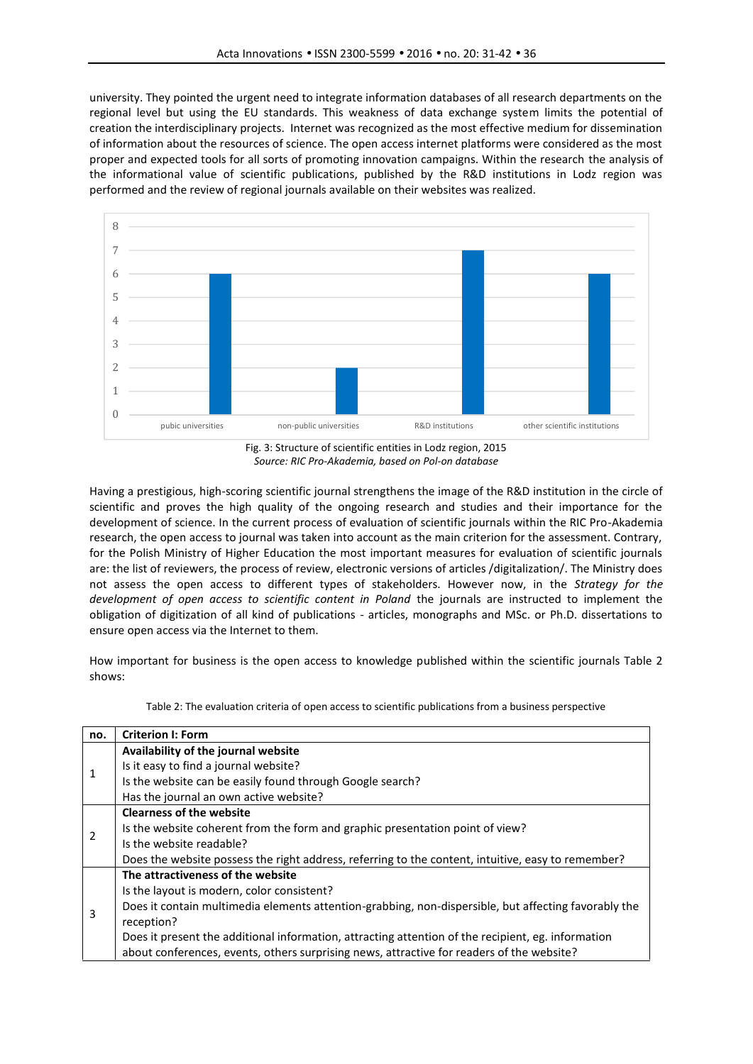university. They pointed the urgent need to integrate information databases of all research departments on the regional level but using the EU standards. This weakness of data exchange system limits the potential of creation the interdisciplinary projects. Internet was recognized as the most effective medium for dissemination of information about the resources of science. The open access internet platforms were considered as the most proper and expected tools for all sorts of promoting innovation campaigns. Within the research the analysis of the informational value of scientific publications, published by the R&D institutions in Lodz region was performed and the review of regional journals available on their websites was realized.



*Source: RIC Pro-Akademia, based on Pol-on database*

Having a prestigious, high-scoring scientific journal strengthens the image of the R&D institution in the circle of scientific and proves the high quality of the ongoing research and studies and their importance for the development of science. In the current process of evaluation of scientific journals within the RIC Pro-Akademia research, the open access to journal was taken into account as the main criterion for the assessment. Contrary, for the Polish Ministry of Higher Education the most important measures for evaluation of scientific journals are: the list of reviewers, the process of review, electronic versions of articles /digitalization/. The Ministry does not assess the open access to different types of stakeholders. However now, in the *Strategy for the development of open access to scientific content in Poland* the journals are instructed to implement the obligation of digitization of all kind of publications - articles, monographs and MSc. or Ph.D. dissertations to ensure open access via the Internet to them.

How important for business is the open access to knowledge published within the scientific journals Table 2 shows:

| Table 2: The evaluation criteria of open access to scientific publications from a business perspective |
|--------------------------------------------------------------------------------------------------------|
|--------------------------------------------------------------------------------------------------------|

| no.            | <b>Criterion I: Form</b>                                                                             |
|----------------|------------------------------------------------------------------------------------------------------|
|                | Availability of the journal website                                                                  |
| 1              | Is it easy to find a journal website?                                                                |
|                | Is the website can be easily found through Google search?                                            |
|                | Has the journal an own active website?                                                               |
|                | <b>Clearness of the website</b>                                                                      |
| $\overline{2}$ | Is the website coherent from the form and graphic presentation point of view?                        |
|                | Is the website readable?                                                                             |
|                | Does the website possess the right address, referring to the content, intuitive, easy to remember?   |
|                | The attractiveness of the website                                                                    |
| 3              | Is the layout is modern, color consistent?                                                           |
|                | Does it contain multimedia elements attention-grabbing, non-dispersible, but affecting favorably the |
|                | reception?                                                                                           |
|                | Does it present the additional information, attracting attention of the recipient, eg. information   |
|                | about conferences, events, others surprising news, attractive for readers of the website?            |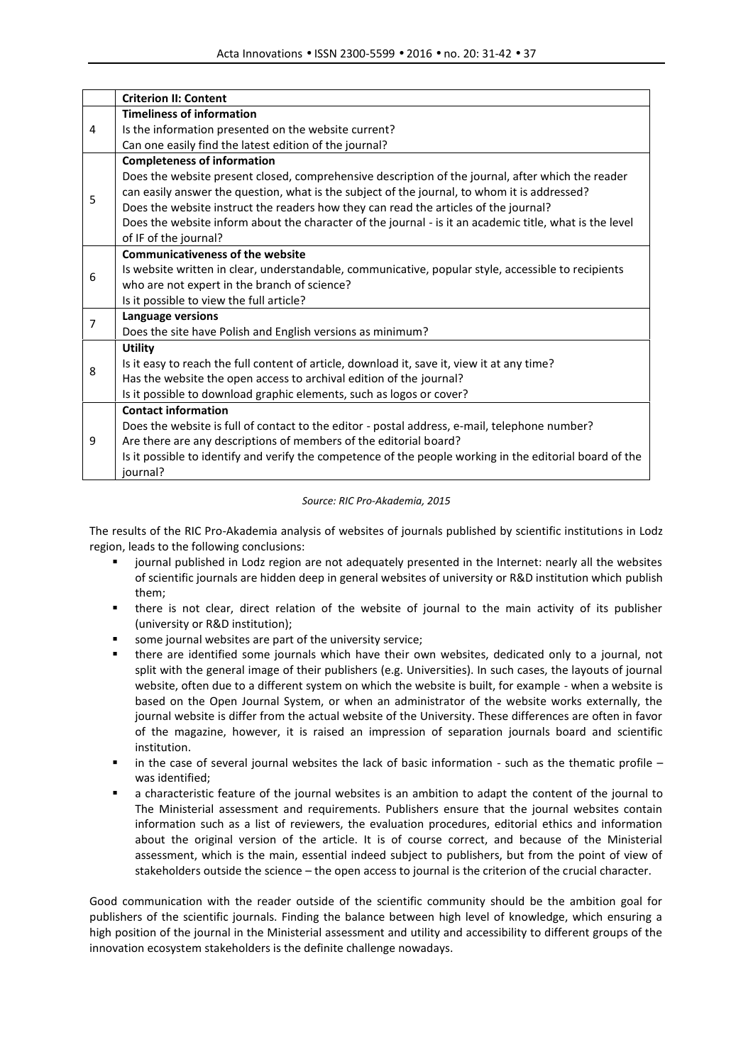|   | <b>Criterion II: Content</b>                                                                                         |  |  |  |  |
|---|----------------------------------------------------------------------------------------------------------------------|--|--|--|--|
|   | <b>Timeliness of information</b>                                                                                     |  |  |  |  |
| 4 | Is the information presented on the website current?                                                                 |  |  |  |  |
|   | Can one easily find the latest edition of the journal?                                                               |  |  |  |  |
| 5 | <b>Completeness of information</b>                                                                                   |  |  |  |  |
|   | Does the website present closed, comprehensive description of the journal, after which the reader                    |  |  |  |  |
|   | can easily answer the question, what is the subject of the journal, to whom it is addressed?                         |  |  |  |  |
|   | Does the website instruct the readers how they can read the articles of the journal?                                 |  |  |  |  |
|   | Does the website inform about the character of the journal - is it an academic title, what is the level              |  |  |  |  |
|   | of IF of the journal?                                                                                                |  |  |  |  |
| 6 | <b>Communicativeness of the website</b>                                                                              |  |  |  |  |
|   | Is website written in clear, understandable, communicative, popular style, accessible to recipients                  |  |  |  |  |
|   | who are not expert in the branch of science?                                                                         |  |  |  |  |
|   | Is it possible to view the full article?                                                                             |  |  |  |  |
| 7 | Language versions                                                                                                    |  |  |  |  |
|   | Does the site have Polish and English versions as minimum?                                                           |  |  |  |  |
|   | <b>Utility</b>                                                                                                       |  |  |  |  |
| 8 | Is it easy to reach the full content of article, download it, save it, view it at any time?                          |  |  |  |  |
|   | Has the website the open access to archival edition of the journal?                                                  |  |  |  |  |
|   | Is it possible to download graphic elements, such as logos or cover?                                                 |  |  |  |  |
| 9 | <b>Contact information</b>                                                                                           |  |  |  |  |
|   | Does the website is full of contact to the editor - postal address, e-mail, telephone number?                        |  |  |  |  |
|   | Are there are any descriptions of members of the editorial board?                                                    |  |  |  |  |
|   | Is it possible to identify and verify the competence of the people working in the editorial board of the<br>journal? |  |  |  |  |

#### *Source: RIC Pro-Akademia, 2015*

The results of the RIC Pro-Akademia analysis of websites of journals published by scientific institutions in Lodz region, leads to the following conclusions:

- journal published in Lodz region are not adequately presented in the Internet: nearly all the websites of scientific journals are hidden deep in general websites of university or R&D institution which publish them;
- there is not clear, direct relation of the website of journal to the main activity of its publisher (university or R&D institution);
- some journal websites are part of the university service;
- there are identified some journals which have their own websites, dedicated only to a journal, not split with the general image of their publishers (e.g. Universities). In such cases, the layouts of journal website, often due to a different system on which the website is built, for example - when a website is based on the Open Journal System, or when an administrator of the website works externally, the journal website is differ from the actual website of the University. These differences are often in favor of the magazine, however, it is raised an impression of separation journals board and scientific institution.
- in the case of several journal websites the lack of basic information such as the thematic profile was identified;
- a characteristic feature of the journal websites is an ambition to adapt the content of the journal to The Ministerial assessment and requirements. Publishers ensure that the journal websites contain information such as a list of reviewers, the evaluation procedures, editorial ethics and information about the original version of the article. It is of course correct, and because of the Ministerial assessment, which is the main, essential indeed subject to publishers, but from the point of view of stakeholders outside the science – the open access to journal is the criterion of the crucial character.

Good communication with the reader outside of the scientific community should be the ambition goal for publishers of the scientific journals. Finding the balance between high level of knowledge, which ensuring a high position of the journal in the Ministerial assessment and utility and accessibility to different groups of the innovation ecosystem stakeholders is the definite challenge nowadays.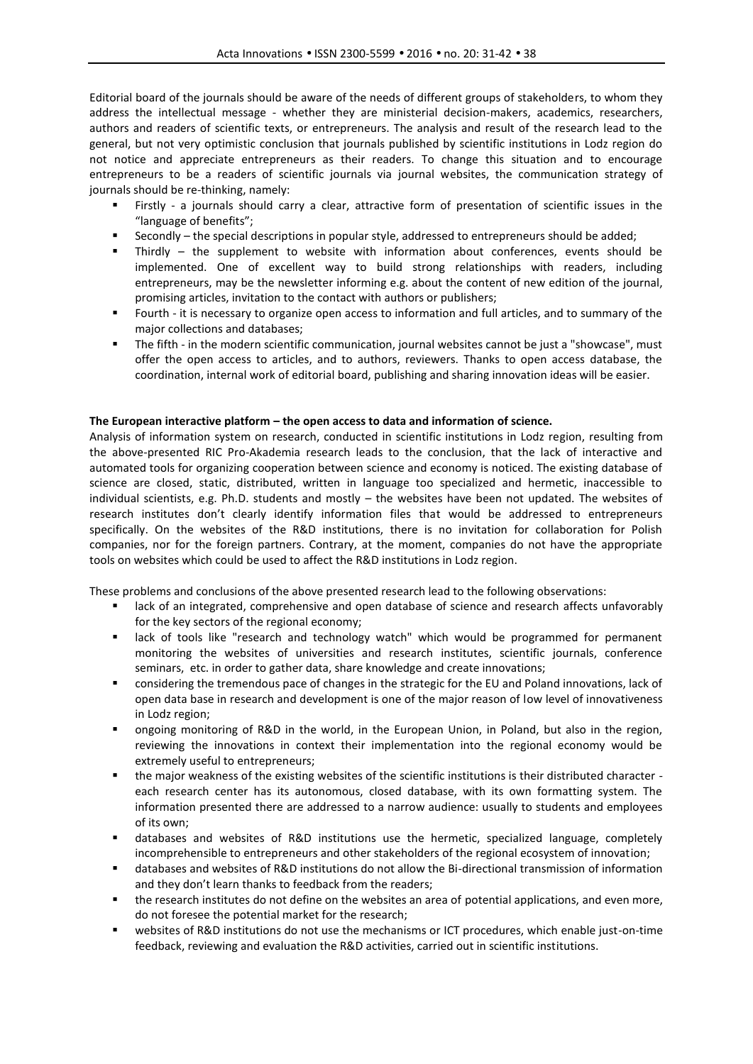Editorial board of the journals should be aware of the needs of different groups of stakeholders, to whom they address the intellectual message - whether they are ministerial decision-makers, academics, researchers, authors and readers of scientific texts, or entrepreneurs. The analysis and result of the research lead to the general, but not very optimistic conclusion that journals published by scientific institutions in Lodz region do not notice and appreciate entrepreneurs as their readers. To change this situation and to encourage entrepreneurs to be a readers of scientific journals via journal websites, the communication strategy of journals should be re-thinking, namely:

- Firstly a journals should carry a clear, attractive form of presentation of scientific issues in the "language of benefits";
- Secondly the special descriptions in popular style, addressed to entrepreneurs should be added;
- Thirdly the supplement to website with information about conferences, events should be implemented. One of excellent way to build strong relationships with readers, including entrepreneurs, may be the newsletter informing e.g. about the content of new edition of the journal, promising articles, invitation to the contact with authors or publishers;
- Fourth it is necessary to organize open access to information and full articles, and to summary of the major collections and databases;
- The fifth in the modern scientific communication, journal websites cannot be just a "showcase", must offer the open access to articles, and to authors, reviewers. Thanks to open access database, the coordination, internal work of editorial board, publishing and sharing innovation ideas will be easier.

#### **The European interactive platform – the open access to data and information of science.**

Analysis of information system on research, conducted in scientific institutions in Lodz region, resulting from the above-presented RIC Pro-Akademia research leads to the conclusion, that the lack of interactive and automated tools for organizing cooperation between science and economy is noticed. The existing database of science are closed, static, distributed, written in language too specialized and hermetic, inaccessible to individual scientists, e.g. Ph.D. students and mostly – the websites have been not updated. The websites of research institutes don't clearly identify information files that would be addressed to entrepreneurs specifically. On the websites of the R&D institutions, there is no invitation for collaboration for Polish companies, nor for the foreign partners. Contrary, at the moment, companies do not have the appropriate tools on websites which could be used to affect the R&D institutions in Lodz region.

These problems and conclusions of the above presented research lead to the following observations:

- **EXECT** lack of an integrated, comprehensive and open database of science and research affects unfavorably for the key sectors of the regional economy;
- lack of tools like "research and technology watch" which would be programmed for permanent monitoring the websites of universities and research institutes, scientific journals, conference seminars, etc. in order to gather data, share knowledge and create innovations;
- considering the tremendous pace of changes in the strategic for the EU and Poland innovations, lack of open data base in research and development is one of the major reason of low level of innovativeness in Lodz region;
- ongoing monitoring of R&D in the world, in the European Union, in Poland, but also in the region, reviewing the innovations in context their implementation into the regional economy would be extremely useful to entrepreneurs;
- the major weakness of the existing websites of the scientific institutions is their distributed character each research center has its autonomous, closed database, with its own formatting system. The information presented there are addressed to a narrow audience: usually to students and employees of its own;
- databases and websites of R&D institutions use the hermetic, specialized language, completely incomprehensible to entrepreneurs and other stakeholders of the regional ecosystem of innovation;
- databases and websites of R&D institutions do not allow the Bi-directional transmission of information and they don't learn thanks to feedback from the readers;
- the research institutes do not define on the websites an area of potential applications, and even more, do not foresee the potential market for the research;
- websites of R&D institutions do not use the mechanisms or ICT procedures, which enable just-on-time feedback, reviewing and evaluation the R&D activities, carried out in scientific institutions.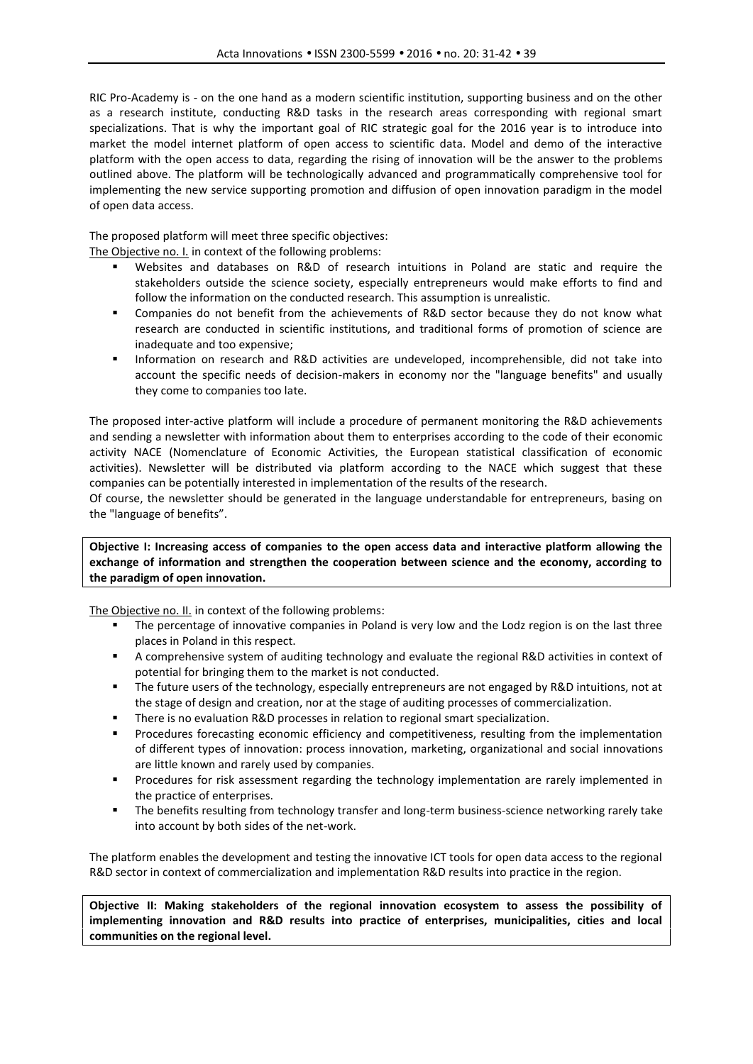RIC Pro-Academy is - on the one hand as a modern scientific institution, supporting business and on the other as a research institute, conducting R&D tasks in the research areas corresponding with regional smart specializations. That is why the important goal of RIC strategic goal for the 2016 year is to introduce into market the model internet platform of open access to scientific data. Model and demo of the interactive platform with the open access to data, regarding the rising of innovation will be the answer to the problems outlined above. The platform will be technologically advanced and programmatically comprehensive tool for implementing the new service supporting promotion and diffusion of open innovation paradigm in the model of open data access.

The proposed platform will meet three specific objectives:

The Objective no. I. in context of the following problems:

- Websites and databases on R&D of research intuitions in Poland are static and require the stakeholders outside the science society, especially entrepreneurs would make efforts to find and follow the information on the conducted research. This assumption is unrealistic.
- Companies do not benefit from the achievements of R&D sector because they do not know what research are conducted in scientific institutions, and traditional forms of promotion of science are inadequate and too expensive;
- **Information on research and R&D activities are undeveloped, incomprehensible, did not take into** account the specific needs of decision-makers in economy nor the "language benefits" and usually they come to companies too late.

The proposed inter-active platform will include a procedure of permanent monitoring the R&D achievements and sending a newsletter with information about them to enterprises according to the code of their economic activity NACE (Nomenclature of Economic Activities, the European statistical classification of economic activities). Newsletter will be distributed via platform according to the NACE which suggest that these companies can be potentially interested in implementation of the results of the research.

Of course, the newsletter should be generated in the language understandable for entrepreneurs, basing on the "language of benefits".

**Objective I: Increasing access of companies to the open access data and interactive platform allowing the exchange of information and strengthen the cooperation between science and the economy, according to the paradigm of open innovation.**

The Objective no. II. in context of the following problems:

- **The percentage of innovative companies in Poland is very low and the Lodz region is on the last three** places in Poland in this respect.
- A comprehensive system of auditing technology and evaluate the regional R&D activities in context of potential for bringing them to the market is not conducted.
- The future users of the technology, especially entrepreneurs are not engaged by R&D intuitions, not at the stage of design and creation, nor at the stage of auditing processes of commercialization.
- There is no evaluation R&D processes in relation to regional smart specialization.
- **Procedures forecasting economic efficiency and competitiveness, resulting from the implementation** of different types of innovation: process innovation, marketing, organizational and social innovations are little known and rarely used by companies.
- **Procedures for risk assessment regarding the technology implementation are rarely implemented in** the practice of enterprises.
- **The benefits resulting from technology transfer and long-term business-science networking rarely take** into account by both sides of the net-work.

The platform enables the development and testing the innovative ICT tools for open data access to the regional R&D sector in context of commercialization and implementation R&D results into practice in the region.

**Objective II: Making stakeholders of the regional innovation ecosystem to assess the possibility of implementing innovation and R&D results into practice of enterprises, municipalities, cities and local communities on the regional level.**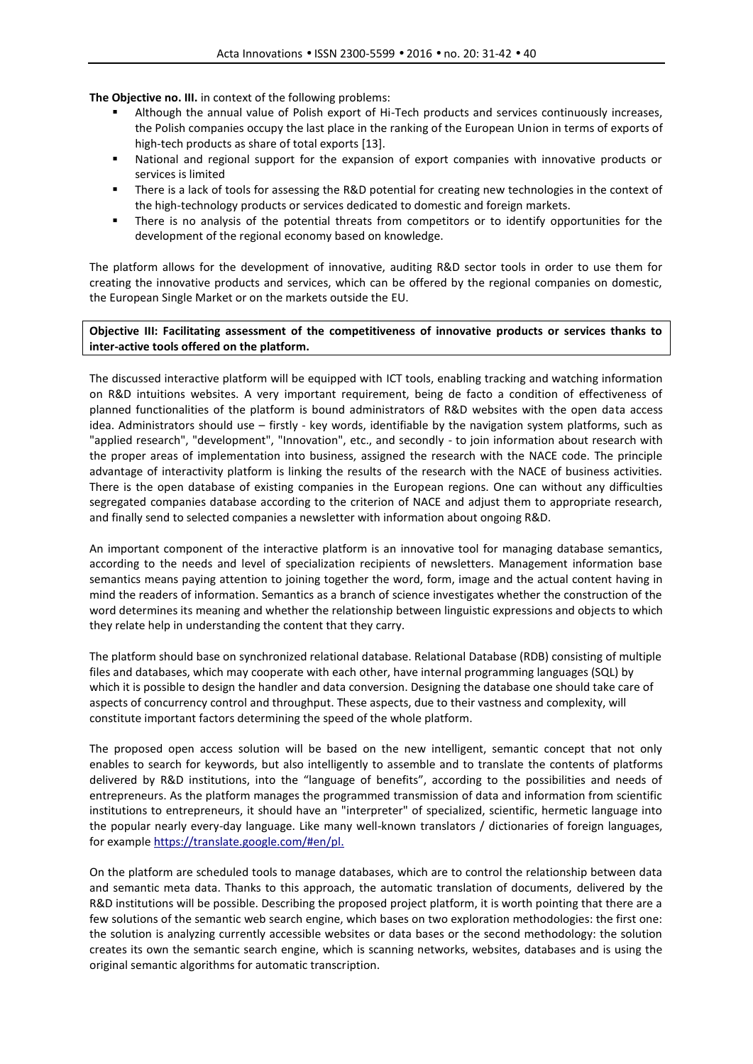**The Objective no. III.** in context of the following problems:

- Although the annual value of Polish export of Hi-Tech products and services continuously increases, the Polish companies occupy the last place in the ranking of the European Union in terms of exports of high-tech products as share of total exports [13].
- National and regional support for the expansion of export companies with innovative products or services is limited
- There is a lack of tools for assessing the R&D potential for creating new technologies in the context of the high-technology products or services dedicated to domestic and foreign markets.
- There is no analysis of the potential threats from competitors or to identify opportunities for the development of the regional economy based on knowledge.

The platform allows for the development of innovative, auditing R&D sector tools in order to use them for creating the innovative products and services, which can be offered by the regional companies on domestic, the European Single Market or on the markets outside the EU.

**Objective III: Facilitating assessment of the competitiveness of innovative products or services thanks to inter-active tools offered on the platform.**

The discussed interactive platform will be equipped with ICT tools, enabling tracking and watching information on R&D intuitions websites. A very important requirement, being de facto a condition of effectiveness of planned functionalities of the platform is bound administrators of R&D websites with the open data access idea. Administrators should use – firstly - key words, identifiable by the navigation system platforms, such as "applied research", "development", "Innovation", etc., and secondly - to join information about research with the proper areas of implementation into business, assigned the research with the NACE code. The principle advantage of interactivity platform is linking the results of the research with the NACE of business activities. There is the open database of existing companies in the European regions. One can without any difficulties segregated companies database according to the criterion of NACE and adjust them to appropriate research, and finally send to selected companies a newsletter with information about ongoing R&D.

An important component of the interactive platform is an innovative tool for managing database semantics, according to the needs and level of specialization recipients of newsletters. Management information base semantics means paying attention to joining together the word, form, image and the actual content having in mind the readers of information. Semantics as a branch of science investigates whether the construction of the word determines its meaning and whether the relationship between linguistic expressions and objects to which they relate help in understanding the content that they carry.

The platform should base on synchronized relational database. Relational Database (RDB) consisting of multiple files and databases, which may cooperate with each other, have internal programming languages (SQL) by which it is possible to design the handler and data conversion. Designing the database one should take care of aspects of concurrency control and throughput. These aspects, due to their vastness and complexity, will constitute important factors determining the speed of the whole platform.

The proposed open access solution will be based on the new intelligent, semantic concept that not only enables to search for keywords, but also intelligently to assemble and to translate the contents of platforms delivered by R&D institutions, into the "language of benefits", according to the possibilities and needs of entrepreneurs. As the platform manages the programmed transmission of data and information from scientific institutions to entrepreneurs, it should have an "interpreter" of specialized, scientific, hermetic language into the popular nearly every-day language. Like many well-known translators / dictionaries of foreign languages, for example https://translate.google.com/#en/pl.

On the platform are scheduled tools to manage databases, which are to control the relationship between data and semantic meta data. Thanks to this approach, the automatic translation of documents, delivered by the R&D institutions will be possible. Describing the proposed project platform, it is worth pointing that there are a few solutions of the semantic web search engine, which bases on two exploration methodologies: the first one: the solution is analyzing currently accessible websites or data bases or the second methodology: the solution creates its own the semantic search engine, which is scanning networks, websites, databases and is using the original semantic algorithms for automatic transcription.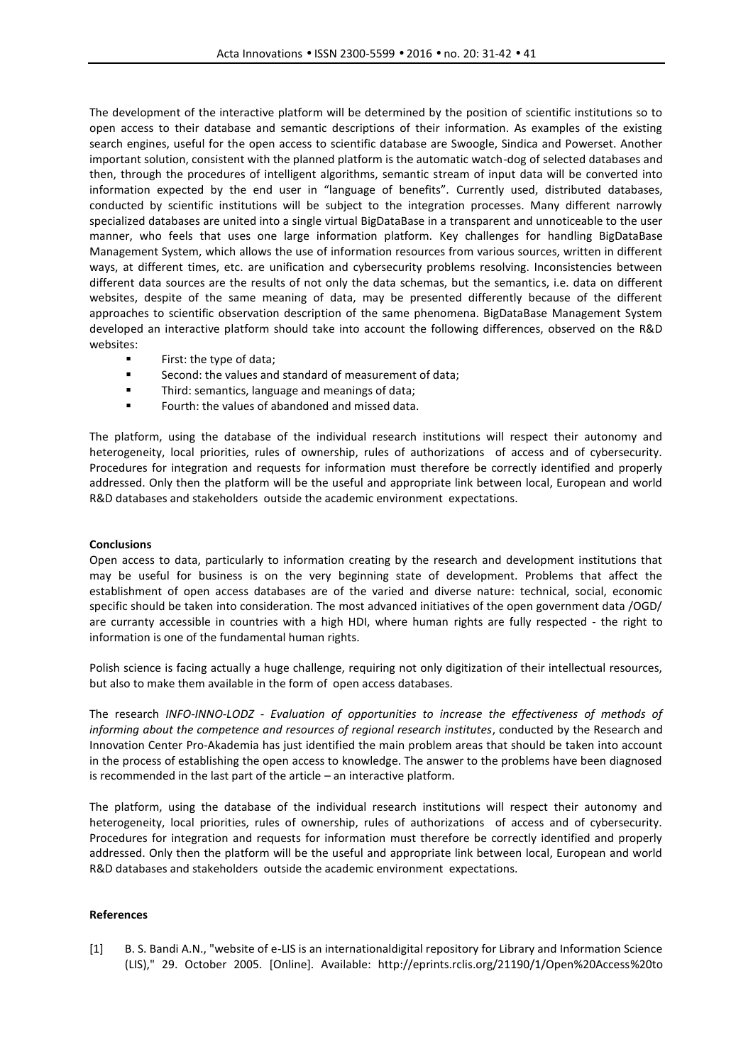The development of the interactive platform will be determined by the position of scientific institutions so to open access to their database and semantic descriptions of their information. As examples of the existing search engines, useful for the open access to scientific database are Swoogle, Sindica and Powerset. Another important solution, consistent with the planned platform is the automatic watch-dog of selected databases and then, through the procedures of intelligent algorithms, semantic stream of input data will be converted into information expected by the end user in "language of benefits". Currently used, distributed databases, conducted by scientific institutions will be subject to the integration processes. Many different narrowly specialized databases are united into a single virtual BigDataBase in a transparent and unnoticeable to the user manner, who feels that uses one large information platform. Key challenges for handling BigDataBase Management System, which allows the use of information resources from various sources, written in different ways, at different times, etc. are unification and cybersecurity problems resolving. Inconsistencies between different data sources are the results of not only the data schemas, but the semantics, i.e. data on different websites, despite of the same meaning of data, may be presented differently because of the different approaches to scientific observation description of the same phenomena. BigDataBase Management System developed an interactive platform should take into account the following differences, observed on the R&D websites:

- **First: the type of data;**
- Second: the values and standard of measurement of data;
- **Third: semantics, language and meanings of data;**
- Fourth: the values of abandoned and missed data.

The platform, using the database of the individual research institutions will respect their autonomy and heterogeneity, local priorities, rules of ownership, rules of authorizations of access and of cybersecurity. Procedures for integration and requests for information must therefore be correctly identified and properly addressed. Only then the platform will be the useful and appropriate link between local, European and world R&D databases and stakeholders outside the academic environment expectations.

## **Conclusions**

Open access to data, particularly to information creating by the research and development institutions that may be useful for business is on the very beginning state of development. Problems that affect the establishment of open access databases are of the varied and diverse nature: technical, social, economic specific should be taken into consideration. The most advanced initiatives of the open government data /OGD/ are curranty accessible in countries with a high HDI, where human rights are fully respected - the right to information is one of the fundamental human rights.

Polish science is facing actually a huge challenge, requiring not only digitization of their intellectual resources, but also to make them available in the form of open access databases.

The research *INFO-INNO-LODZ - Evaluation of opportunities to increase the effectiveness of methods of informing about the competence and resources of regional research institutes*, conducted by the Research and Innovation Center Pro-Akademia has just identified the main problem areas that should be taken into account in the process of establishing the open access to knowledge. The answer to the problems have been diagnosed is recommended in the last part of the article – an interactive platform.

The platform, using the database of the individual research institutions will respect their autonomy and heterogeneity, local priorities, rules of ownership, rules of authorizations of access and of cybersecurity. Procedures for integration and requests for information must therefore be correctly identified and properly addressed. Only then the platform will be the useful and appropriate link between local, European and world R&D databases and stakeholders outside the academic environment expectations.

#### **References**

[1] B. S. Bandi A.N., "website of e-LIS is an internationaldigital repository for Library and Information Science (LIS)," 29. October 2005. [Online]. Available: http://eprints.rclis.org/21190/1/Open%20Access%20to